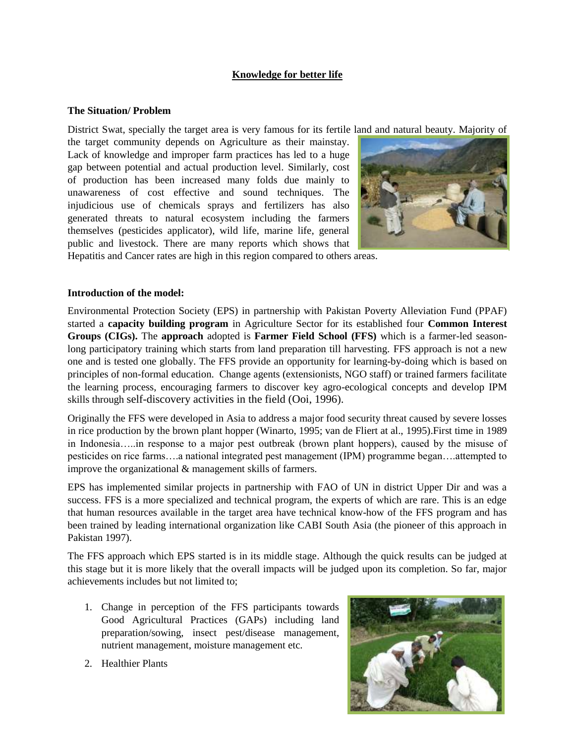# **Knowledge for better life**

#### **The Situation/ Problem**

District Swat, specially the target area is very famous for its fertile land and natural beauty. Majority of

the target community depends on Agriculture as their mainstay. Lack of knowledge and improper farm practices has led to a huge gap between potential and actual production level. Similarly, cost of production has been increased many folds due mainly to unawareness of cost effective and sound techniques. The injudicious use of chemicals sprays and fertilizers has also generated threats to natural ecosystem including the farmers themselves (pesticides applicator), wild life, marine life, general public and livestock. There are many reports which shows that



Hepatitis and Cancer rates are high in this region compared to others areas.

#### **Introduction of the model:**

Environmental Protection Society (EPS) in partnership with Pakistan Poverty Alleviation Fund (PPAF) started a **capacity building program** in Agriculture Sector for its established four **Common Interest Groups (CIGs).** The **approach** adopted is **Farmer Field School (FFS)** which is a farmer-led seasonlong participatory training which starts from land preparation till harvesting. FFS approach is not a new one and is tested one globally. The FFS provide an opportunity for learning-by-doing which is based on principles of non-formal education. Change agents (extensionists, NGO staff) or trained farmers facilitate the learning process, encouraging farmers to discover key agro-ecological concepts and develop IPM skills through self-discovery activities in the field (Ooi, 1996).

Originally the FFS were developed in Asia to address a major food security threat caused by severe losses in rice production by the brown plant hopper (Winarto, 1995; van de Fliert at al., 1995).First time in 1989 in Indonesia…..in response to a major pest outbreak (brown plant hoppers), caused by the misuse of pesticides on rice farms….a national integrated pest management (IPM) programme began….attempted to improve the organizational & management skills of farmers.

EPS has implemented similar projects in partnership with FAO of UN in district Upper Dir and was a success. FFS is a more specialized and technical program, the experts of which are rare. This is an edge that human resources available in the target area have technical know-how of the FFS program and has been trained by leading international organization like CABI South Asia (the pioneer of this approach in Pakistan 1997).

The FFS approach which EPS started is in its middle stage. Although the quick results can be judged at this stage but it is more likely that the overall impacts will be judged upon its completion. So far, major achievements includes but not limited to;

- 1. Change in perception of the FFS participants towards Good Agricultural Practices (GAPs) including land preparation/sowing, insect pest/disease management, nutrient management, moisture management etc.
- 

2. Healthier Plants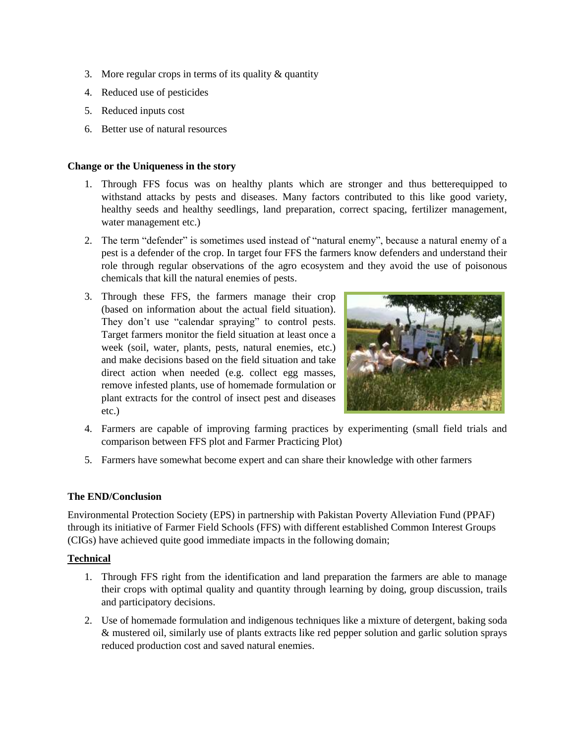- 3. More regular crops in terms of its quality & quantity
- 4. Reduced use of pesticides
- 5. Reduced inputs cost
- 6. Better use of natural resources

## **Change or the Uniqueness in the story**

- 1. Through FFS focus was on healthy plants which are stronger and thus betterequipped to withstand attacks by pests and diseases. Many factors contributed to this like good variety, healthy seeds and healthy seedlings, land preparation, correct spacing, fertilizer management, water management etc.)
- 2. The term "defender" is sometimes used instead of "natural enemy", because a natural enemy of a pest is a defender of the crop. In target four FFS the farmers know defenders and understand their role through regular observations of the agro ecosystem and they avoid the use of poisonous chemicals that kill the natural enemies of pests.
- 3. Through these FFS, the farmers manage their crop (based on information about the actual field situation). They don't use "calendar spraying" to control pests. Target farmers monitor the field situation at least once a week (soil, water, plants, pests, natural enemies, etc.) and make decisions based on the field situation and take direct action when needed (e.g. collect egg masses, remove infested plants, use of homemade formulation or plant extracts for the control of insect pest and diseases etc.)



- 4. Farmers are capable of improving farming practices by experimenting (small field trials and comparison between FFS plot and Farmer Practicing Plot)
- 5. Farmers have somewhat become expert and can share their knowledge with other farmers

## **The END/Conclusion**

Environmental Protection Society (EPS) in partnership with Pakistan Poverty Alleviation Fund (PPAF) through its initiative of Farmer Field Schools (FFS) with different established Common Interest Groups (CIGs) have achieved quite good immediate impacts in the following domain;

## **Technical**

- 1. Through FFS right from the identification and land preparation the farmers are able to manage their crops with optimal quality and quantity through learning by doing, group discussion, trails and participatory decisions.
- 2. Use of homemade formulation and indigenous techniques like a mixture of detergent, baking soda & mustered oil, similarly use of plants extracts like red pepper solution and garlic solution sprays reduced production cost and saved natural enemies.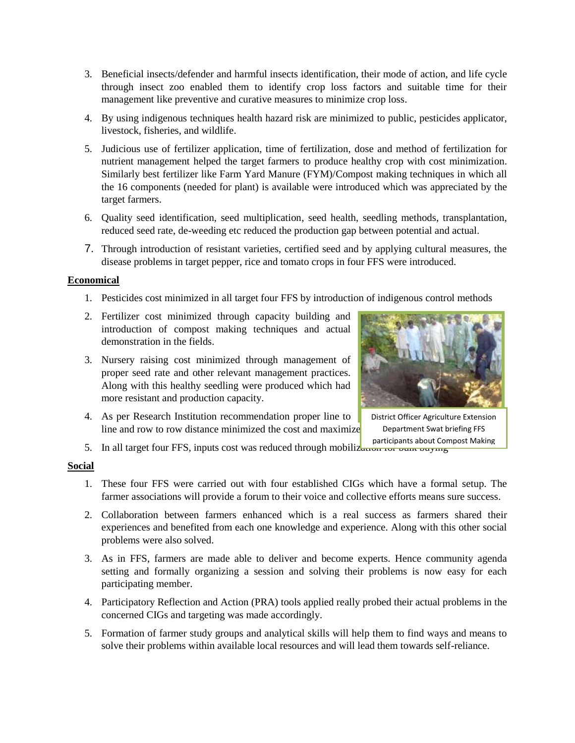- 3. Beneficial insects/defender and harmful insects identification, their mode of action, and life cycle through insect zoo enabled them to identify crop loss factors and suitable time for their management like preventive and curative measures to minimize crop loss.
- 4. By using indigenous techniques health hazard risk are minimized to public, pesticides applicator, livestock, fisheries, and wildlife.
- 5. Judicious use of fertilizer application, time of fertilization, dose and method of fertilization for nutrient management helped the target farmers to produce healthy crop with cost minimization. Similarly best fertilizer like Farm Yard Manure (FYM)/Compost making techniques in which all the 16 components (needed for plant) is available were introduced which was appreciated by the target farmers.
- 6. Quality seed identification, seed multiplication, seed health, seedling methods, transplantation, reduced seed rate, de-weeding etc reduced the production gap between potential and actual.
- 7. Through introduction of resistant varieties, certified seed and by applying cultural measures, the disease problems in target pepper, rice and tomato crops in four FFS were introduced.

#### **Economical**

- 1. Pesticides cost minimized in all target four FFS by introduction of indigenous control methods
- 2. Fertilizer cost minimized through capacity building and introduction of compost making techniques and actual demonstration in the fields.
- 3. Nursery raising cost minimized through management of proper seed rate and other relevant management practices. Along with this healthy seedling were produced which had more resistant and production capacity.
- 4. As per Research Institution recommendation proper line to line and row to row distance minimized the cost and maximize



District Officer Agriculture Extension Department Swat briefing FFS participants about Compost Making

5. In all target four FFS, inputs cost was reduced through mobilized for bulk buying

#### **Social**

- 1. These four FFS were carried out with four established CIGs which have a formal setup. The farmer associations will provide a forum to their voice and collective efforts means sure success.
- 2. Collaboration between farmers enhanced which is a real success as farmers shared their experiences and benefited from each one knowledge and experience. Along with this other social problems were also solved.
- 3. As in FFS, farmers are made able to deliver and become experts. Hence community agenda setting and formally organizing a session and solving their problems is now easy for each participating member.
- 4. Participatory Reflection and Action (PRA) tools applied really probed their actual problems in the concerned CIGs and targeting was made accordingly.
- 5. Formation of farmer study groups and analytical skills will help them to find ways and means to solve their problems within available local resources and will lead them towards self-reliance.